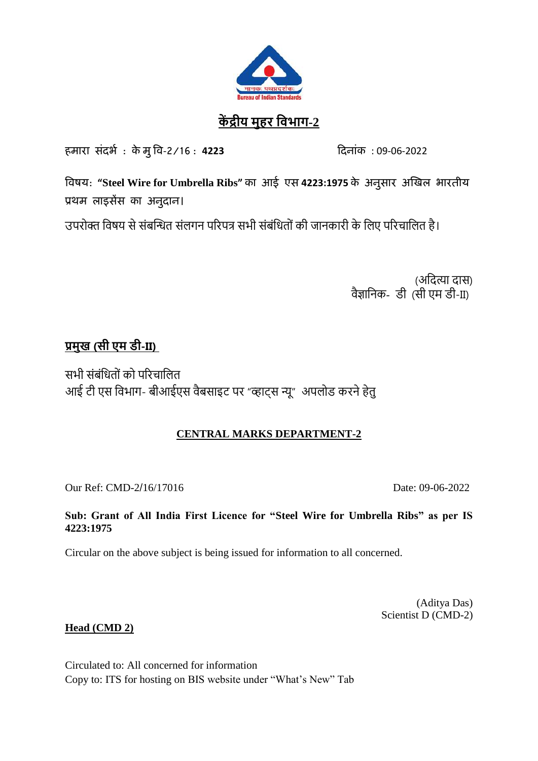

# **कें द्रीय मुहर विभाग-2**

हमारा संदर्भ : के मुवि-2/16 : **4223** ददनांक : 09-06-2022

**विषय: "Steel Wire for Umbrella Ribs" का आई एस 4223:1975 के अनुसार अखिल भारतीय प्रथम लाइसेंस का अनुदान।** 

उपरोक्त विषय से संबन्धित संलगन पररपत्र सभी संबंवितों की जानकारी के वलए पररचावलत है।

(अदित्या दास) वैज्ञानिक- डी (सी एम डी-II)

# **प्रमुख (सी एम डी-II)**

सभी संबंवितों को पररचावलत आई टी एस विभाग- बीआईएस वैबसाइट पर "व्हाट्स न्यू" अपलोड करने हेतु

## **CENTRAL MARKS DEPARTMENT-2**

Our Ref: CMD-2/16/17016 Date: 09-06-2022

## **Sub: Grant of All India First Licence for "Steel Wire for Umbrella Ribs" as per IS 4223:1975**

Circular on the above subject is being issued for information to all concerned.

(Aditya Das) Scientist D (CMD-2)

## **Head (CMD 2)**

Circulated to: All concerned for information Copy to: ITS for hosting on BIS website under "What's New" Tab